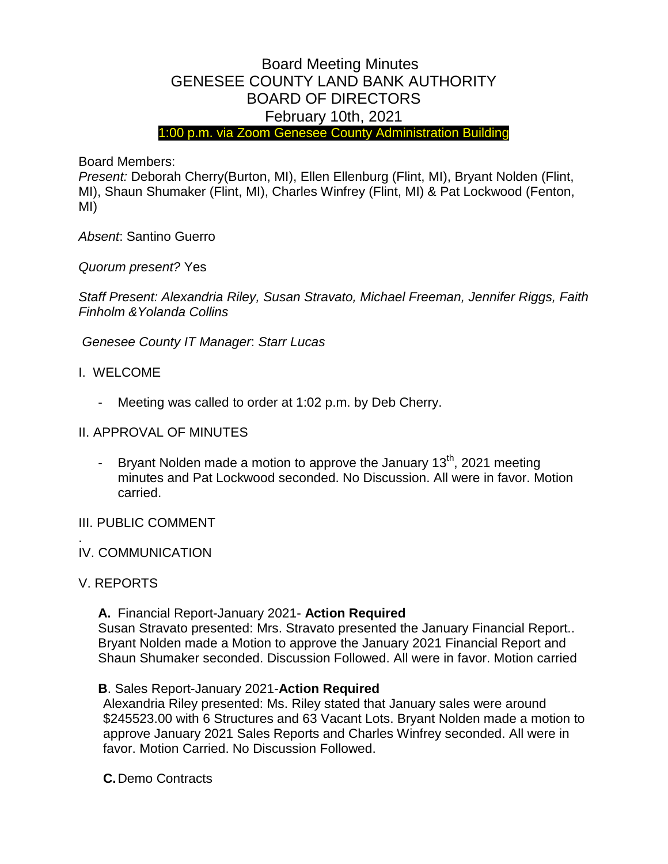# Board Meeting Minutes GENESEE COUNTY LAND BANK AUTHORITY BOARD OF DIRECTORS February 10th, 2021

1:00 p.m. via Zoom Genesee County Administration Building

Board Members:

*Present:* Deborah Cherry(Burton, MI), Ellen Ellenburg (Flint, MI), Bryant Nolden (Flint, MI), Shaun Shumaker (Flint, MI), Charles Winfrey (Flint, MI) & Pat Lockwood (Fenton, MI)

*Absent*: Santino Guerro

*Quorum present?* Yes

*Staff Present: Alexandria Riley, Susan Stravato, Michael Freeman, Jennifer Riggs, Faith Finholm &Yolanda Collins*

*Genesee County IT Manager*: *Starr Lucas*

- I. WELCOME
	- Meeting was called to order at 1:02 p.m. by Deb Cherry.

#### II. APPROVAL OF MINUTES

- Bryant Nolden made a motion to approve the January  $13<sup>th</sup>$ , 2021 meeting minutes and Pat Lockwood seconded. No Discussion. All were in favor. Motion carried.

#### III. PUBLIC COMMENT

#### . IV. COMMUNICATION

#### V. REPORTS

**A.** Financial Report-January 2021- **Action Required** Susan Stravato presented: Mrs. Stravato presented the January Financial Report.. Bryant Nolden made a Motion to approve the January 2021 Financial Report and Shaun Shumaker seconded. Discussion Followed. All were in favor. Motion carried

#### **B**. Sales Report-January 2021-**Action Required**

Alexandria Riley presented: Ms. Riley stated that January sales were around \$245523.00 with 6 Structures and 63 Vacant Lots. Bryant Nolden made a motion to approve January 2021 Sales Reports and Charles Winfrey seconded. All were in favor. Motion Carried. No Discussion Followed.

**C.**Demo Contracts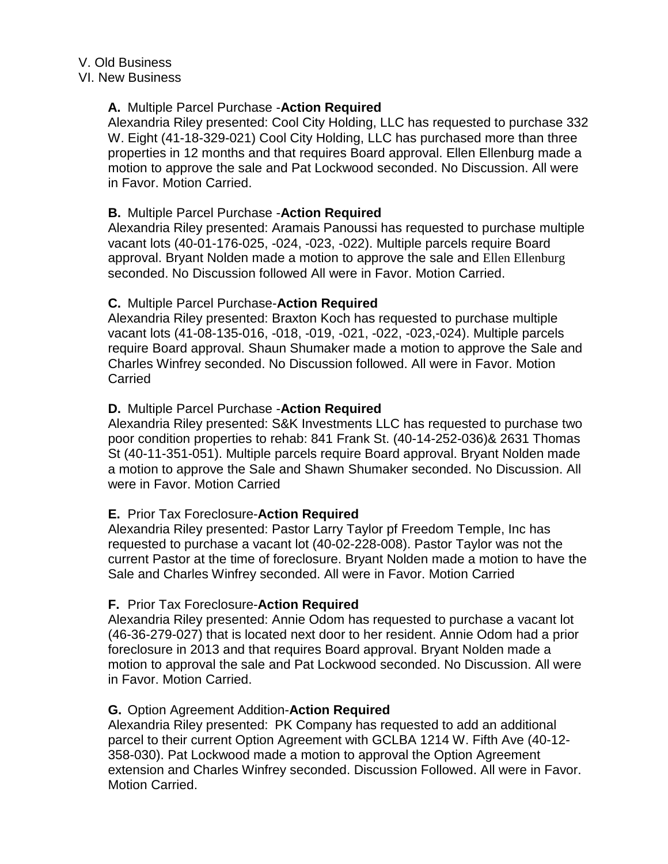# **A.** Multiple Parcel Purchase -**Action Required**

Alexandria Riley presented: Cool City Holding, LLC has requested to purchase 332 W. Eight (41-18-329-021) Cool City Holding, LLC has purchased more than three properties in 12 months and that requires Board approval. Ellen Ellenburg made a motion to approve the sale and Pat Lockwood seconded. No Discussion. All were in Favor. Motion Carried.

# **B.** Multiple Parcel Purchase -**Action Required**

Alexandria Riley presented: Aramais Panoussi has requested to purchase multiple vacant lots (40-01-176-025, -024, -023, -022). Multiple parcels require Board approval. Bryant Nolden made a motion to approve the sale and Ellen Ellenburg seconded. No Discussion followed All were in Favor. Motion Carried.

# **C.** Multiple Parcel Purchase-**Action Required**

Alexandria Riley presented: Braxton Koch has requested to purchase multiple vacant lots (41-08-135-016, -018, -019, -021, -022, -023,-024). Multiple parcels require Board approval. Shaun Shumaker made a motion to approve the Sale and Charles Winfrey seconded. No Discussion followed. All were in Favor. Motion **Carried** 

# **D.** Multiple Parcel Purchase -**Action Required**

Alexandria Riley presented: S&K Investments LLC has requested to purchase two poor condition properties to rehab: 841 Frank St. (40-14-252-036)& 2631 Thomas St (40-11-351-051). Multiple parcels require Board approval. Bryant Nolden made a motion to approve the Sale and Shawn Shumaker seconded. No Discussion. All were in Favor. Motion Carried

#### **E.** Prior Tax Foreclosure-**Action Required**

Alexandria Riley presented: Pastor Larry Taylor pf Freedom Temple, Inc has requested to purchase a vacant lot (40-02-228-008). Pastor Taylor was not the current Pastor at the time of foreclosure. Bryant Nolden made a motion to have the Sale and Charles Winfrey seconded. All were in Favor. Motion Carried

#### **F.** Prior Tax Foreclosure-**Action Required**

Alexandria Riley presented: Annie Odom has requested to purchase a vacant lot (46-36-279-027) that is located next door to her resident. Annie Odom had a prior foreclosure in 2013 and that requires Board approval. Bryant Nolden made a motion to approval the sale and Pat Lockwood seconded. No Discussion. All were in Favor. Motion Carried.

#### **G.** Option Agreement Addition-**Action Required**

Alexandria Riley presented: PK Company has requested to add an additional parcel to their current Option Agreement with GCLBA 1214 W. Fifth Ave (40-12- 358-030). Pat Lockwood made a motion to approval the Option Agreement extension and Charles Winfrey seconded. Discussion Followed. All were in Favor. Motion Carried.